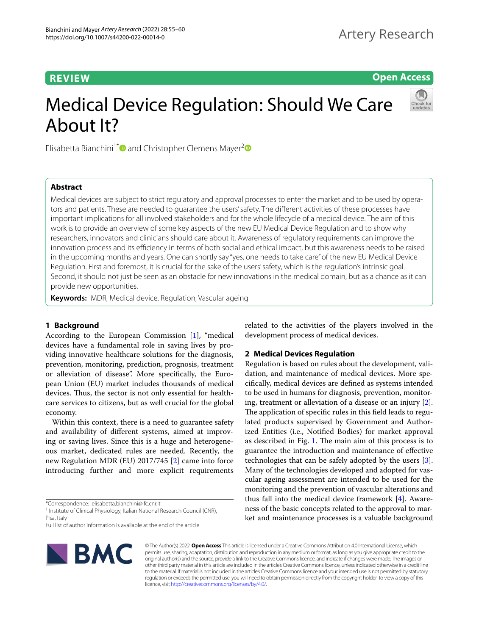**Open Access**

# Medical Device Regulation: Should We Care About It?



Elisabetta Bianchini<sup>1[\\*](http://orcid.org/0000-0002-1827-8866)</sup> and Christopher Clemens Mayer<sup>[2](http://orcid.org/0000-0002-5612-5481)</sup>

# **Abstract**

Medical devices are subject to strict regulatory and approval processes to enter the market and to be used by operators and patients. These are needed to guarantee the users' safety. The diferent activities of these processes have important implications for all involved stakeholders and for the whole lifecycle of a medical device. The aim of this work is to provide an overview of some key aspects of the new EU Medical Device Regulation and to show why researchers, innovators and clinicians should care about it. Awareness of regulatory requirements can improve the innovation process and its efficiency in terms of both social and ethical impact, but this awareness needs to be raised in the upcoming months and years. One can shortly say "yes, one needs to take care" of the new EU Medical Device Regulation. First and foremost, it is crucial for the sake of the users' safety, which is the regulation's intrinsic goal. Second, it should not just be seen as an obstacle for new innovations in the medical domain, but as a chance as it can provide new opportunities.

**Keywords:** MDR, Medical device, Regulation, Vascular ageing

# **1 Background**

According to the European Commission [[1](#page-4-0)], "medical devices have a fundamental role in saving lives by providing innovative healthcare solutions for the diagnosis, prevention, monitoring, prediction, prognosis, treatment or alleviation of disease". More specifcally, the European Union (EU) market includes thousands of medical devices. Thus, the sector is not only essential for healthcare services to citizens, but as well crucial for the global economy.

Within this context, there is a need to guarantee safety and availability of diferent systems, aimed at improving or saving lives. Since this is a huge and heterogeneous market, dedicated rules are needed. Recently, the new Regulation MDR (EU) 2017/745 [\[2](#page-4-1)] came into force introducing further and more explicit requirements

\*Correspondence: elisabetta.bianchini@ifc.cnr.it

Full list of author information is available at the end of the article



related to the activities of the players involved in the development process of medical devices.

# **2 Medical Devices Regulation**

Regulation is based on rules about the development, validation, and maintenance of medical devices. More specifcally, medical devices are defned as systems intended to be used in humans for diagnosis, prevention, monitoring, treatment or alleviation of a disease or an injury [\[2](#page-4-1)]. The application of specific rules in this field leads to regulated products supervised by Government and Authorized Entities (i.e., Notifed Bodies) for market approval as described in Fig.  $1$ . The main aim of this process is to guarantee the introduction and maintenance of efective technologies that can be safely adopted by the users [\[3](#page-4-2)]. Many of the technologies developed and adopted for vascular ageing assessment are intended to be used for the monitoring and the prevention of vascular alterations and thus fall into the medical device framework [\[4\]](#page-4-3). Awareness of the basic concepts related to the approval to market and maintenance processes is a valuable background

© The Author(s) 2022. **Open Access** This article is licensed under a Creative Commons Attribution 4.0 International License, which permits use, sharing, adaptation, distribution and reproduction in any medium or format, as long as you give appropriate credit to the original author(s) and the source, provide a link to the Creative Commons licence, and indicate if changes were made. The images or other third party material in this article are included in the article's Creative Commons licence, unless indicated otherwise in a credit line to the material. If material is not included in the article's Creative Commons licence and your intended use is not permitted by statutory regulation or exceeds the permitted use, you will need to obtain permission directly from the copyright holder. To view a copy of this licence, visit [http://creativecommons.org/licenses/by/4.0/.](http://creativecommons.org/licenses/by/4.0/)

<sup>&</sup>lt;sup>1</sup> Institute of Clinical Physiology, Italian National Research Council (CNR), Pisa, Italy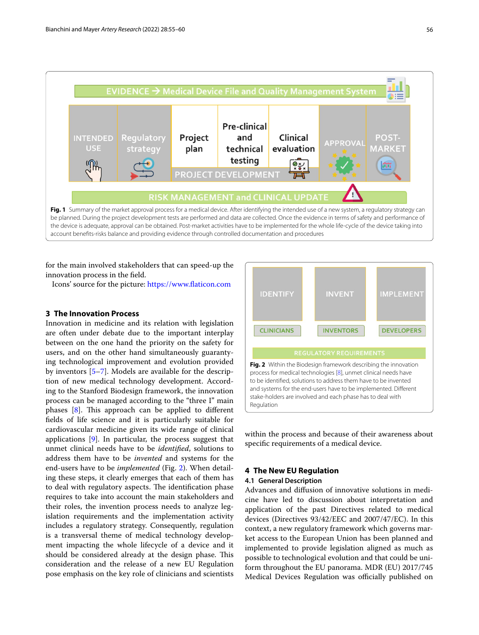

<span id="page-1-0"></span>for the main involved stakeholders that can speed-up the innovation process in the feld.

Icons' source for the picture: [https://www.faticon.com](https://www.flaticon.com)

# **3 The Innovation Process**

Innovation in medicine and its relation with legislation are often under debate due to the important interplay between on the one hand the priority on the safety for users, and on the other hand simultaneously guarantying technological improvement and evolution provided by inventors [\[5–](#page-4-4)[7\]](#page-4-5). Models are available for the description of new medical technology development. According to the Stanford Biodesign framework, the innovation process can be managed according to the "three I" main phases  $[8]$  $[8]$ . This approach can be applied to different felds of life science and it is particularly suitable for cardiovascular medicine given its wide range of clinical applications [[9](#page-5-1)]. In particular, the process suggest that unmet clinical needs have to be *identifed*, solutions to address them have to be *invented* and systems for the end-users have to be *implemented* (Fig. [2\)](#page-1-1). When detailing these steps, it clearly emerges that each of them has to deal with regulatory aspects. The identification phase requires to take into account the main stakeholders and their roles, the invention process needs to analyze legislation requirements and the implementation activity includes a regulatory strategy. Consequently, regulation is a transversal theme of medical technology development impacting the whole lifecycle of a device and it should be considered already at the design phase. This consideration and the release of a new EU Regulation pose emphasis on the key role of clinicians and scientists



<span id="page-1-1"></span>within the process and because of their awareness about specifc requirements of a medical device.

# **4 The New EU Regulation**

# **4.1 General Description**

Advances and difusion of innovative solutions in medicine have led to discussion about interpretation and application of the past Directives related to medical devices (Directives 93/42/EEC and 2007/47/EC). In this context, a new regulatory framework which governs market access to the European Union has been planned and implemented to provide legislation aligned as much as possible to technological evolution and that could be uniform throughout the EU panorama. MDR (EU) 2017/745 Medical Devices Regulation was officially published on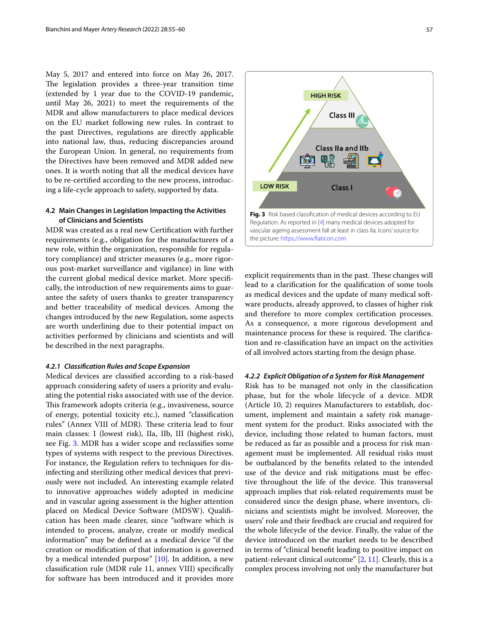May 5, 2017 and entered into force on May 26, 2017. The legislation provides a three-year transition time (extended by 1 year due to the COVID-19 pandemic, until May 26, 2021) to meet the requirements of the MDR and allow manufacturers to place medical devices on the EU market following new rules. In contrast to the past Directives, regulations are directly applicable into national law, thus, reducing discrepancies around the European Union. In general, no requirements from the Directives have been removed and MDR added new ones. It is worth noting that all the medical devices have to be re-certifed according to the new process, introducing a life-cycle approach to safety, supported by data.

# **4.2 Main Changes in Legislation Impacting the Activities of Clinicians and Scientists**

MDR was created as a real new Certifcation with further requirements (e.g., obligation for the manufacturers of a new role, within the organization, responsible for regulatory compliance) and stricter measures (e.g., more rigorous post-market surveillance and vigilance) in line with the current global medical device market. More specifcally, the introduction of new requirements aims to guarantee the safety of users thanks to greater transparency and better traceability of medical devices. Among the changes introduced by the new Regulation, some aspects are worth underlining due to their potential impact on activities performed by clinicians and scientists and will be described in the next paragraphs.

# *4.2.1 Classifcation Rules and Scope Expansion*

Medical devices are classifed according to a risk-based approach considering safety of users a priority and evaluating the potential risks associated with use of the device. This framework adopts criteria (e.g., invasiveness, source of energy, potential toxicity etc.), named "classifcation rules" (Annex VIII of MDR). These criteria lead to four main classes: I (lowest risk), IIa, IIb, III (highest risk), see Fig. [3.](#page-2-0) MDR has a wider scope and reclassifes some types of systems with respect to the previous Directives. For instance, the Regulation refers to techniques for disinfecting and sterilizing other medical devices that previously were not included. An interesting example related to innovative approaches widely adopted in medicine and in vascular ageing assessment is the higher attention placed on Medical Device Software (MDSW). Qualifcation has been made clearer, since "software which is intended to process, analyze, create or modify medical information" may be defned as a medical device "if the creation or modifcation of that information is governed by a medical intended purpose" [[10\]](#page-5-2). In addition, a new classifcation rule (MDR rule 11, annex VIII) specifcally for software has been introduced and it provides more



<span id="page-2-0"></span>explicit requirements than in the past. These changes will lead to a clarifcation for the qualifcation of some tools as medical devices and the update of many medical software products, already approved, to classes of higher risk and therefore to more complex certifcation processes. As a consequence, a more rigorous development and maintenance process for these is required. The clarification and re-classifcation have an impact on the activities of all involved actors starting from the design phase.

# *4.2.2 Explicit Obligation of a System for Risk Management*

Risk has to be managed not only in the classifcation phase, but for the whole lifecycle of a device. MDR (Article 10, 2) requires Manufacturers to establish, document, implement and maintain a safety risk management system for the product. Risks associated with the device, including those related to human factors, must be reduced as far as possible and a process for risk management must be implemented. All residual risks must be outbalanced by the benefts related to the intended use of the device and risk mitigations must be efective throughout the life of the device. This transversal approach implies that risk-related requirements must be considered since the design phase, where inventors, clinicians and scientists might be involved. Moreover, the users' role and their feedback are crucial and required for the whole lifecycle of the device. Finally, the value of the device introduced on the market needs to be described in terms of "clinical beneft leading to positive impact on patient-relevant clinical outcome" [\[2](#page-4-1), [11](#page-5-3)]. Clearly, this is a complex process involving not only the manufacturer but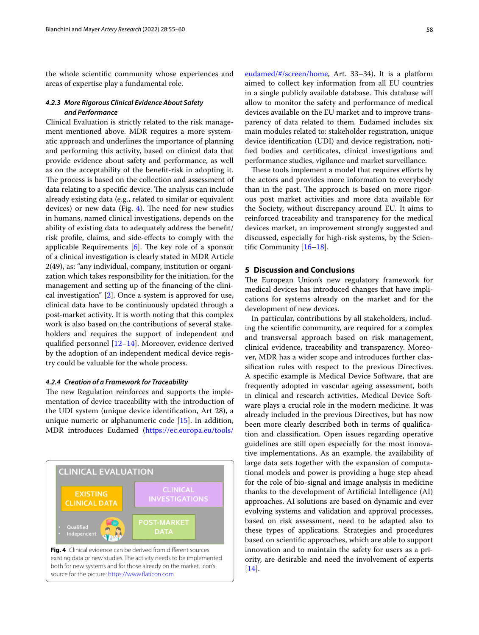the whole scientifc community whose experiences and areas of expertise play a fundamental role.

# *4.2.3 More Rigorous Clinical Evidence About Safety and Performance*

Clinical Evaluation is strictly related to the risk management mentioned above. MDR requires a more systematic approach and underlines the importance of planning and performing this activity, based on clinical data that provide evidence about safety and performance, as well as on the acceptability of the beneft-risk in adopting it. The process is based on the collection and assessment of data relating to a specific device. The analysis can include already existing data (e.g., related to similar or equivalent devices) or new data (Fig.  $4$ ). The need for new studies in humans, named clinical investigations, depends on the ability of existing data to adequately address the beneft/ risk profle, claims, and side-efects to comply with the applicable Requirements  $[6]$  $[6]$ . The key role of a sponsor of a clinical investigation is clearly stated in MDR Article 2(49), as: "any individual, company, institution or organization which takes responsibility for the initiation, for the management and setting up of the fnancing of the clinical investigation" [[2\]](#page-4-1). Once a system is approved for use, clinical data have to be continuously updated through a post-market activity. It is worth noting that this complex work is also based on the contributions of several stakeholders and requires the support of independent and qualifed personnel [[12–](#page-5-4)[14\]](#page-5-5). Moreover, evidence derived by the adoption of an independent medical device registry could be valuable for the whole process.

### *4.2.4 Creation of a Framework for Traceability*

The new Regulation reinforces and supports the implementation of device traceability with the introduction of the UDI system (unique device identifcation, Art 28), a unique numeric or alphanumeric code [[15](#page-5-6)]. In addition, MDR introduces Eudamed ([https://ec.europa.eu/tools/](https://ec.europa.eu/tools/eudamed/#/screen/home)

<span id="page-3-0"></span>

in a single publicly available database. This database will allow to monitor the safety and performance of medical devices available on the EU market and to improve transparency of data related to them. Eudamed includes six main modules related to: stakeholder registration, unique device identifcation (UDI) and device registration, notifed bodies and certifcates, clinical investigations and performance studies, vigilance and market surveillance.

These tools implement a model that requires efforts by the actors and provides more information to everybody than in the past. The approach is based on more rigorous post market activities and more data available for the Society, without discrepancy around EU. It aims to reinforced traceability and transparency for the medical devices market, an improvement strongly suggested and discussed, especially for high-risk systems, by the Scientifc Community [[16](#page-5-7)[–18](#page-5-8)].

# **5 Discussion and Conclusions**

The European Union's new regulatory framework for medical devices has introduced changes that have implications for systems already on the market and for the development of new devices.

In particular, contributions by all stakeholders, including the scientifc community, are required for a complex and transversal approach based on risk management, clinical evidence, traceability and transparency. Moreover, MDR has a wider scope and introduces further classifcation rules with respect to the previous Directives. A specifc example is Medical Device Software, that are frequently adopted in vascular ageing assessment, both in clinical and research activities. Medical Device Software plays a crucial role in the modern medicine. It was already included in the previous Directives, but has now been more clearly described both in terms of qualifcation and classifcation. Open issues regarding operative guidelines are still open especially for the most innovative implementations. As an example, the availability of large data sets together with the expansion of computational models and power is providing a huge step ahead for the role of bio-signal and image analysis in medicine thanks to the development of Artifcial Intelligence (AI) approaches. AI solutions are based on dynamic and ever evolving systems and validation and approval processes, based on risk assessment, need to be adapted also to these types of applications. Strategies and procedures based on scientifc approaches, which are able to support innovation and to maintain the safety for users as a priority, are desirable and need the involvement of experts [[14\]](#page-5-5).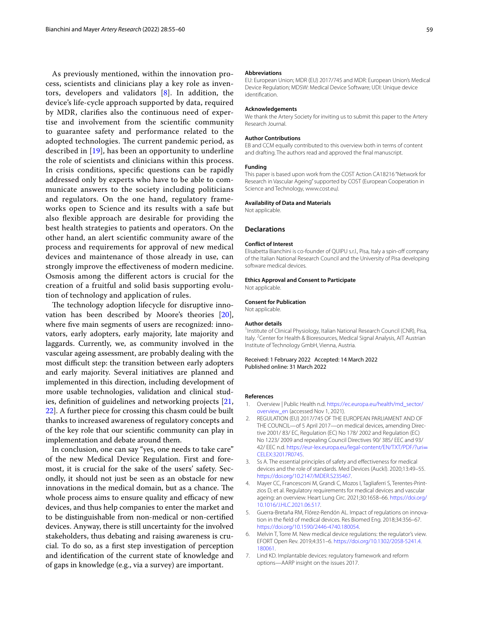As previously mentioned, within the innovation process, scientists and clinicians play a key role as inventors, developers and validators [\[8](#page-5-0)]. In addition, the device's life-cycle approach supported by data, required by MDR, clarifes also the continuous need of expertise and involvement from the scientifc community to guarantee safety and performance related to the adopted technologies. The current pandemic period, as described in [[19\]](#page-5-9), has been an opportunity to underline the role of scientists and clinicians within this process. In crisis conditions, specifc questions can be rapidly addressed only by experts who have to be able to communicate answers to the society including politicians and regulators. On the one hand, regulatory frameworks open to Science and its results with a safe but also flexible approach are desirable for providing the best health strategies to patients and operators. On the other hand, an alert scientifc community aware of the process and requirements for approval of new medical devices and maintenance of those already in use, can strongly improve the efectiveness of modern medicine. Osmosis among the diferent actors is crucial for the creation of a fruitful and solid basis supporting evolution of technology and application of rules.

The technology adoption lifecycle for disruptive innovation has been described by Moore's theories [\[20](#page-5-10)], where five main segments of users are recognized: innovators, early adopters, early majority, late majority and laggards. Currently, we, as community involved in the vascular ageing assessment, are probably dealing with the most difficult step: the transition between early adopters and early majority. Several initiatives are planned and implemented in this direction, including development of more usable technologies, validation and clinical studies, defnition of guidelines and networking projects [\[21](#page-5-11), [22\]](#page-5-12). A further piece for crossing this chasm could be built thanks to increased awareness of regulatory concepts and of the key role that our scientifc community can play in implementation and debate around them.

In conclusion, one can say "yes, one needs to take care" of the new Medical Device Regulation. First and foremost, it is crucial for the sake of the users' safety. Secondly, it should not just be seen as an obstacle for new innovations in the medical domain, but as a chance. The whole process aims to ensure quality and efficacy of new devices, and thus help companies to enter the market and to be distinguishable from non-medical or non-certifed devices. Anyway, there is still uncertainty for the involved stakeholders, thus debating and raising awareness is crucial. To do so, as a frst step investigation of perception and identifcation of the current state of knowledge and of gaps in knowledge (e.g., via a survey) are important.

#### **Abbreviations**

EU: European Union; MDR (EU) 2017/745 and MDR: European Union's Medical Device Regulation; MDSW: Medical Device Software; UDI: Unique device identifcation.

#### **Acknowledgements**

We thank the Artery Society for inviting us to submit this paper to the Artery Research Journal.

#### **Author Contributions**

EB and CCM equally contributed to this overview both in terms of content and drafting. The authors read and approved the fnal manuscript.

#### **Funding**

This paper is based upon work from the COST Action CA18216 "Network for Research in Vascular Ageing" supported by COST (European Cooperation in Science and Technology, www.cost.eu*).*

#### **Availability of Data and Materials**

Not applicable.

#### **Declarations**

#### **Conflict of Interest**

Elisabetta Bianchini is co-founder of QUIPU s.r.l., Pisa, Italy a spin-of company of the Italian National Research Council and the University of Pisa developing software medical devices.

#### **Ethics Approval and Consent to Participate**

Not applicable.

#### **Consent for Publication**

Not applicable.

#### **Author details**

<sup>1</sup> Institute of Clinical Physiology, Italian National Research Council (CNR), Pisa, Italy. <sup>2</sup> Center for Health & Bioresources, Medical Signal Analysis, AIT Austrian Institute of Technology GmbH, Vienna, Austria.

#### Received: 1 February 2022 Accepted: 14 March 2022 Published online: 31 March 2022

#### **References**

- <span id="page-4-0"></span>1. Overview | Public Health n.d. [https://ec.europa.eu/health/md\\_sector/](https://ec.europa.eu/health/md_sector/overview_en) [overview\\_en](https://ec.europa.eu/health/md_sector/overview_en) (accessed Nov 1, 2021).
- <span id="page-4-1"></span>2. REGULATION (EU) 2017/745 OF THE EUROPEAN PARLIAMENT AND OF THE COUNCIL—of 5 April 2017—on medical devices, amending Directive 2001/ 83/ EC, Regulation (EC) No 178/ 2002 and Regulation (EC) No 1223/ 2009 and repealing Council Directives 90/ 385/ EEC and 93/ 42/ EEC n.d. [https://eur-lex.europa.eu/legal-content/EN/TXT/PDF/?uri](https://eur-lex.europa.eu/legal-content/EN/TXT/PDF/?uri=CELEX:32017R0745)= [CELEX:32017R0745](https://eur-lex.europa.eu/legal-content/EN/TXT/PDF/?uri=CELEX:32017R0745).
- <span id="page-4-2"></span>3. Ss A. The essential principles of safety and efectiveness for medical devices and the role of standards. Med Devices (Auckl). 2020;13:49–55. <https://doi.org/10.2147/MDER.S235467>.
- <span id="page-4-3"></span>4. Mayer CC, Francesconi M, Grandi C, Mozos I, Tagliaferri S, Terentes-Printzios D, et al. Regulatory requirements for medical devices and vascular ageing: an overview. Heart Lung Circ. 2021;30:1658–66. [https://doi.org/](https://doi.org/10.1016/J.HLC.2021.06.517) [10.1016/J.HLC.2021.06.517](https://doi.org/10.1016/J.HLC.2021.06.517).
- <span id="page-4-4"></span>5. Guerra-Bretaña RM, Flórez-Rendón AL. Impact of regulations on innovation in the feld of medical devices. Res Biomed Eng. 2018;34:356–67. <https://doi.org/10.1590/2446-4740.180054>.
- <span id="page-4-6"></span>6. Melvin T, Torre M. New medical device regulations: the regulator's view. EFORT Open Rev. 2019;4:351–6. [https://doi.org/10.1302/2058-5241.4.](https://doi.org/10.1302/2058-5241.4.180061) [180061.](https://doi.org/10.1302/2058-5241.4.180061)
- <span id="page-4-5"></span>7. Lind KD. Implantable devices: regulatory framework and reform options—AARP insight on the issues 2017.